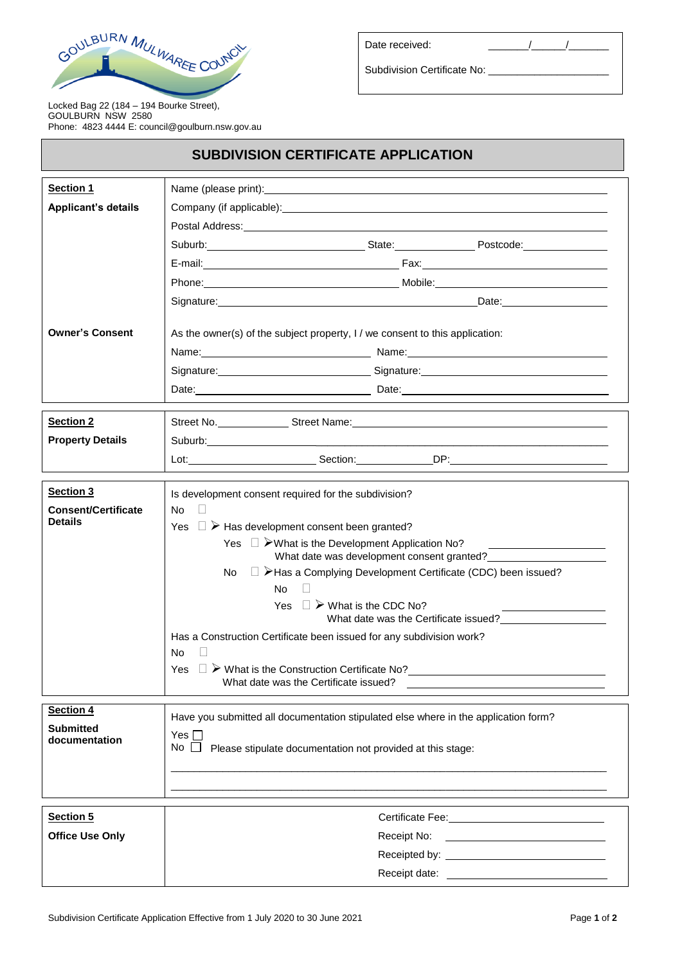

| Date received: |
|----------------|
|                |

Subdivision Certificate No:

Locked Bag 22 (184 – 194 Bourke Street), GOULBURN NSW 2580 Phone: 4823 4444 E: council@goulburn.nsw.gov.au

## **SUBDIVISION CERTIFICATE APPLICATION**

| <b>Section 1</b>           | Name (please print): example and a series of the series of the series of the series of the series of the series of the series of the series of the series of the series of the series of the series of the series of the serie |
|----------------------------|--------------------------------------------------------------------------------------------------------------------------------------------------------------------------------------------------------------------------------|
| <b>Applicant's details</b> | Company (if applicable): example and the company of a policy of the company of the company of the company of the company of the company of the company of the company of the company of the company of the company of the comp |
|                            | Postal Address: Note and the set of the set of the set of the set of the set of the set of the set of the set of the set of the set of the set of the set of the set of the set of the set of the set of the set of the set of |
|                            | Suburb: Suburb: State: State: Postcode: Postcode:                                                                                                                                                                              |
|                            |                                                                                                                                                                                                                                |
|                            |                                                                                                                                                                                                                                |
|                            | Signature: Date: Discovery and Date: Date: Date: Date:                                                                                                                                                                         |
| <b>Owner's Consent</b>     | As the owner(s) of the subject property, I / we consent to this application:                                                                                                                                                   |
|                            |                                                                                                                                                                                                                                |
|                            | Signature: Signature: Signature: Signature: Signature: Signature: Signature: Signature: Signature: Signature: Signature: Signature: Signature: Signature: Signature: Signature: Signature: Signature: Signature: Signature: Si |
|                            |                                                                                                                                                                                                                                |
|                            |                                                                                                                                                                                                                                |
| <b>Section 2</b>           |                                                                                                                                                                                                                                |
| <b>Property Details</b>    |                                                                                                                                                                                                                                |
|                            |                                                                                                                                                                                                                                |
| Section 3                  | Is development consent required for the subdivision?                                                                                                                                                                           |
| <b>Consent/Certificate</b> | No.<br>$\Box$                                                                                                                                                                                                                  |
| <b>Details</b>             | Yes $\Box$ $\triangleright$ Has development consent been granted?                                                                                                                                                              |
|                            | Yes $\Box$ > What is the Development Application No?<br>What date was development consent granted?                                                                                                                             |
|                            | □ ≻Has a Complying Development Certificate (CDC) been issued?<br>No.                                                                                                                                                           |
|                            | No.                                                                                                                                                                                                                            |
|                            | Yes $\Box$ > What is the CDC No?                                                                                                                                                                                               |
|                            | What date was the Certificate issued?                                                                                                                                                                                          |
|                            | Has a Construction Certificate been issued for any subdivision work?<br>No                                                                                                                                                     |
|                            | Yes<br>$\Box$ $\triangleright$ What is the Construction Certificate No?                                                                                                                                                        |
|                            | What date was the Certificate issued?                                                                                                                                                                                          |
| Section 4                  |                                                                                                                                                                                                                                |
| <b>Submitted</b>           | Have you submitted all documentation stipulated else where in the application form?                                                                                                                                            |
| documentation              | Yes $\Box$<br>$No \ \Box$<br>Please stipulate documentation not provided at this stage:                                                                                                                                        |
|                            |                                                                                                                                                                                                                                |
|                            |                                                                                                                                                                                                                                |
|                            |                                                                                                                                                                                                                                |
| Section 5                  |                                                                                                                                                                                                                                |
| <b>Office Use Only</b>     | Receipt No:<br><u> 1980 - Andrea Barbara, poeta esperanto-poeta esperanto-poeta esperanto-poeta esperanto-poeta esperanto-poeta</u>                                                                                            |
|                            |                                                                                                                                                                                                                                |
|                            |                                                                                                                                                                                                                                |